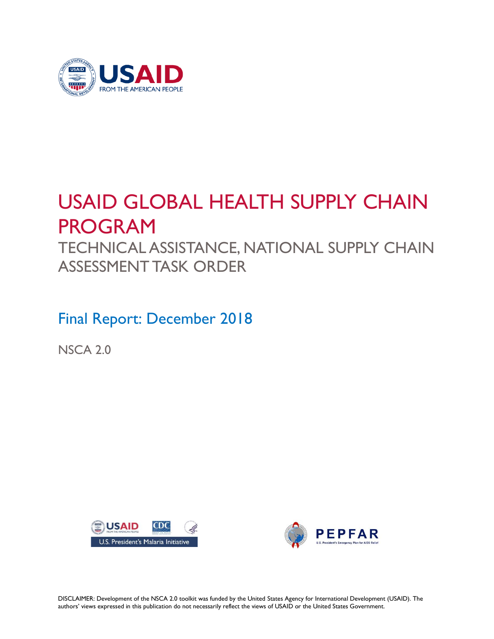

# USAID GLOBAL HEALTH SUPPLY CHAIN PROGRAM

TECHNICAL ASSISTANCE, NATIONAL SUPPLY CHAIN ASSESSMENT TASK ORDER

Final Report: December 2018

NSCA 2.0





DISCLAIMER: Development of the NSCA 2.0 toolkit was funded by the United States Agency for International Development (USAID). The authors' views expressed in this publication do not necessarily reflect the views of USAID or the United States Government.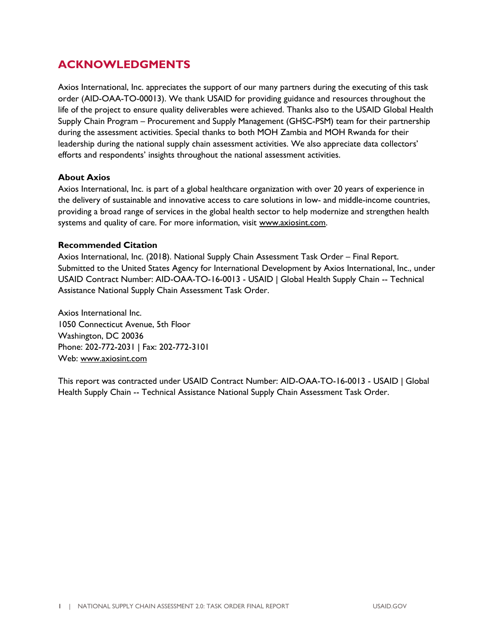#### **ACKNOWLEDGMENTS**

Axios International, Inc. appreciates the support of our many partners during the executing of this task order (AID-OAA-TO-00013). We thank USAID for providing guidance and resources throughout the life of the project to ensure quality deliverables were achieved. Thanks also to the USAID Global Health Supply Chain Program – Procurement and Supply Management (GHSC-PSM) team for their partnership during the assessment activities. Special thanks to both MOH Zambia and MOH Rwanda for their leadership during the national supply chain assessment activities. We also appreciate data collectors' efforts and respondents' insights throughout the national assessment activities.

#### **About Axios**

Axios International, Inc. is part of a global healthcare organization with over 20 years of experience in the delivery of sustainable and innovative access to care solutions in low- and middle-income countries, providing a broad range of services in the global health sector to help modernize and strengthen health systems and quality of care. For more information, visit [www.axiosint.com.](http://www.axiosint.com/)

#### **Recommended Citation**

Axios International, Inc. (2018). National Supply Chain Assessment Task Order – Final Report. Submitted to the United States Agency for International Development by Axios International, Inc., under USAID Contract Number: AID-OAA-TO-16-0013 - USAID | Global Health Supply Chain -- Technical Assistance National Supply Chain Assessment Task Order.

Axios International Inc. 1050 Connecticut Avenue, 5th Floor Washington, DC 20036 Phone: 202-772-2031 | Fax: 202-772-3101 Web: [www.axiosint.com](http://www.axiosint.com/) 

This report was contracted under USAID Contract Number: AID-OAA-TO-16-0013 - USAID | Global Health Supply Chain -- Technical Assistance National Supply Chain Assessment Task Order.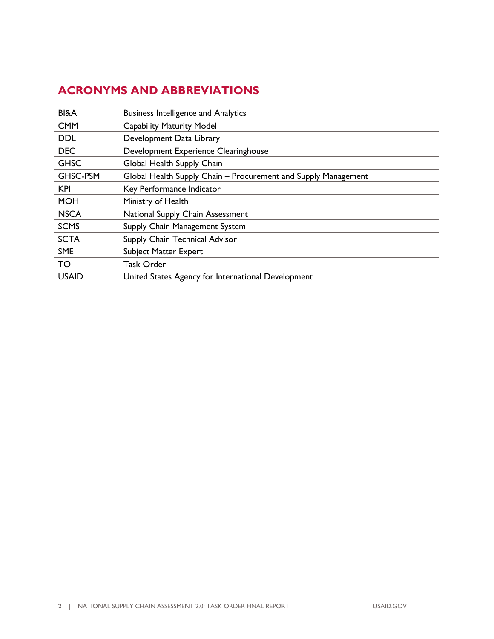# <span id="page-3-0"></span>**ACRONYMS AND ABBREVIATIONS**

| BI&A         | <b>Business Intelligence and Analytics</b>                     |
|--------------|----------------------------------------------------------------|
| <b>CMM</b>   | <b>Capability Maturity Model</b>                               |
| <b>DDL</b>   | Development Data Library                                       |
| <b>DEC</b>   | Development Experience Clearinghouse                           |
| <b>GHSC</b>  | Global Health Supply Chain                                     |
| GHSC-PSM     | Global Health Supply Chain – Procurement and Supply Management |
| <b>KPI</b>   | Key Performance Indicator                                      |
| <b>MOH</b>   | Ministry of Health                                             |
| <b>NSCA</b>  | National Supply Chain Assessment                               |
| <b>SCMS</b>  | Supply Chain Management System                                 |
| <b>SCTA</b>  | Supply Chain Technical Advisor                                 |
| <b>SME</b>   | <b>Subject Matter Expert</b>                                   |
| <b>TO</b>    | Task Order                                                     |
| <b>USAID</b> | United States Agency for International Development             |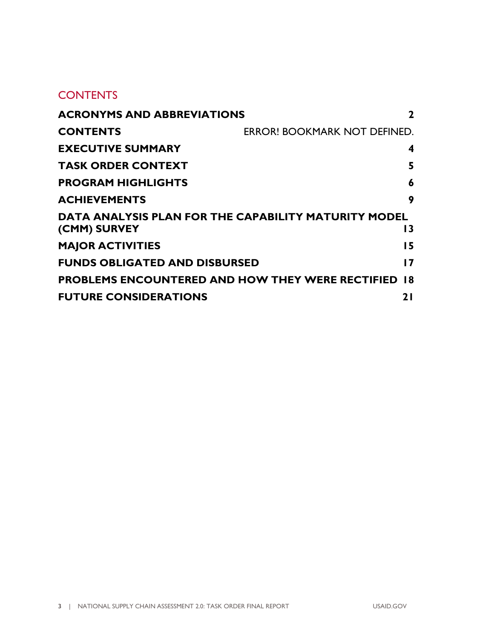#### **CONTENTS**

| <b>ACRONYMS AND ABBREVIATIONS</b><br>2                     |                              |
|------------------------------------------------------------|------------------------------|
| <b>CONTENTS</b>                                            | ERROR! BOOKMARK NOT DEFINED. |
| <b>EXECUTIVE SUMMARY</b>                                   | 4                            |
| <b>TASK ORDER CONTEXT</b>                                  | 5                            |
| <b>PROGRAM HIGHLIGHTS</b>                                  | 6                            |
| <b>ACHIEVEMENTS</b>                                        | 9                            |
| DATA ANALYSIS PLAN FOR THE CAPABILITY MATURITY MODEL       |                              |
| (CMM) SURVEY                                               | 13                           |
| <b>MAJOR ACTIVITIES</b>                                    | 15                           |
| <b>FUNDS OBLIGATED AND DISBURSED</b>                       | 17                           |
| <b>PROBLEMS ENCOUNTERED AND HOW THEY WERE RECTIFIED 18</b> |                              |
| <b>FUTURE CONSIDERATIONS</b>                               | 2 I                          |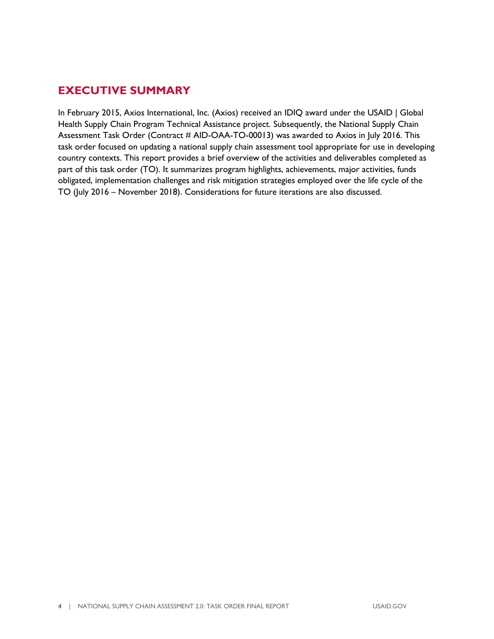#### <span id="page-5-0"></span>**EXECUTIVE SUMMARY**

In February 2015, Axios International, Inc. (Axios) received an IDIQ award under the USAID | Global Health Supply Chain Program Technical Assistance project. Subsequently, the National Supply Chain Assessment Task Order (Contract # AID-OAA-TO-00013) was awarded to Axios in July 2016. This task order focused on updating a national supply chain assessment tool appropriate for use in developing country contexts. This report provides a brief overview of the activities and deliverables completed as part of this task order (TO). It summarizes program highlights, achievements, major activities, funds obligated, implementation challenges and risk mitigation strategies employed over the life cycle of the TO (July 2016 – November 2018). Considerations for future iterations are also discussed.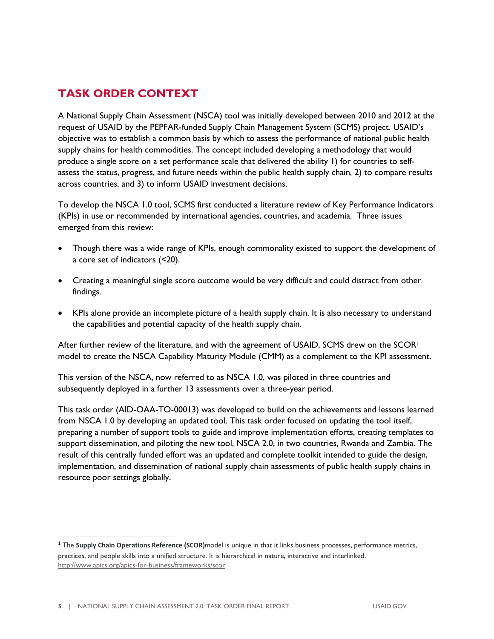### <span id="page-6-0"></span>**TASK ORDER CONTEXT**

A National Supply Chain Assessment (NSCA) tool was initially developed between 2010 and 2012 at the request of USAID by the PEPFAR-funded Supply Chain Management System (SCMS) project. USAID's objective was to establish a common basis by which to assess the performance of national public health supply chains for health commodities. The concept included developing a methodology that would produce a single score on a set performance scale that delivered the ability 1) for countries to selfassess the status, progress, and future needs within the public health supply chain, 2) to compare results across countries, and 3) to inform USAID investment decisions.

To develop the NSCA 1.0 tool, SCMS first conducted a literature review of Key Performance Indicators (KPIs) in use or recommended by international agencies, countries, and academia. Three issues emerged from this review:

- Though there was a wide range of KPIs, enough commonality existed to support the development of a core set of indicators (<20).
- Creating a meaningful single score outcome would be very difficult and could distract from other findings.
- KPIs alone provide an incomplete picture of a health supply chain. It is also necessary to understand the capabilities and potential capacity of the health supply chain.

After further review of the literature, and with the agreement of USAID, SCMS drew on the SCOR<sup>1</sup> model to create the NSCA Capability Maturity Module (CMM) as a complement to the KPI assessment.

This version of the NSCA, now referred to as NSCA 1.0, was piloted in three countries and subsequently deployed in a further 13 assessments over a three-year period.

This task order (AID-OAA-TO-00013) was developed to build on the achievements and lessons learned from NSCA 1.0 by developing an updated tool. This task order focused on updating the tool itself, preparing a number of support tools to guide and improve implementation efforts, creating templates to support dissemination, and piloting the new tool, NSCA 2.0, in two countries, Rwanda and Zambia. The result of this centrally funded effort was an updated and complete toolkit intended to guide the design, implementation, and dissemination of national supply chain assessments of public health supply chains in resource poor settings globally.

<sup>1</sup>The **Supply Chain Operations Reference (SCOR)**model is unique in that it links business processes, performance metrics, practices, and people skills into a unified structure. It is hierarchical in nature, interactive and interlinked. <http://www.apics.org/apics-for-business/frameworks/scor>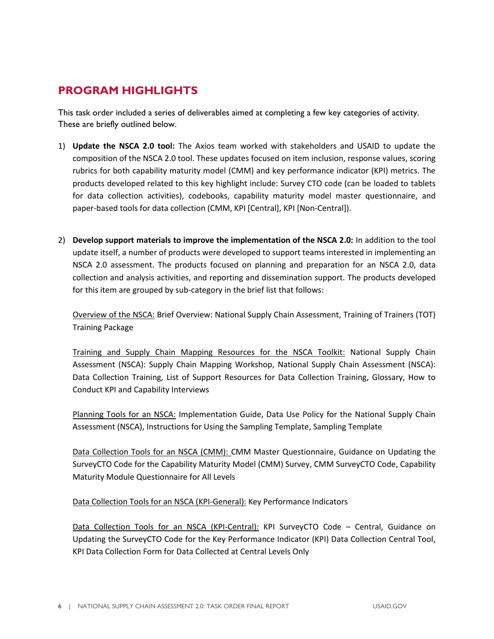#### <span id="page-7-0"></span>**PROGRAM HIGHLIGHTS**

This task order included a series of deliverables aimed at completing a few key categories of activity. These are briefly outlined below.

- 1) **Update the NSCA 2.0 tool:** The Axios team worked with stakeholders and USAID to update the composition of the NSCA 2.0 tool. These updates focused on item inclusion, response values, scoring rubrics for both capability maturity model (CMM) and key performance indicator (KPI) metrics. The products developed related to this key highlight include: Survey CTO code (can be loaded to tablets for data collection activities), codebooks, capability maturity model master questionnaire, and paper-based tools for data collection (CMM, KPI [Central], KPI [Non-Central]).
- 2) **Develop support materials to improve the implementation of the NSCA 2.0:** In addition to the tool update itself, a number of products were developed to support teams interested in implementing an NSCA 2.0 assessment. The products focused on planning and preparation for an NSCA 2.0, data collection and analysis activities, and reporting and dissemination support. The products developed for this item are grouped by sub-category in the brief list that follows:

Overview of the NSCA: Brief Overview: National Supply Chain Assessment, Training of Trainers (TOT) Training Package

Training and Supply Chain Mapping Resources for the NSCA Toolkit: National Supply Chain Assessment (NSCA): Supply Chain Mapping Workshop, National Supply Chain Assessment (NSCA): Data Collection Training, List of Support Resources for Data Collection Training, Glossary, How to Conduct KPI and Capability Interviews

Planning Tools for an NSCA: Implementation Guide, Data Use Policy for the National Supply Chain Assessment (NSCA), Instructions for Using the Sampling Template, Sampling Template

Data Collection Tools for an NSCA (CMM): CMM Master Questionnaire, Guidance on Updating the SurveyCTO Code for the Capability Maturity Model (CMM) Survey, CMM SurveyCTO Code, Capability Maturity Module Questionnaire for All Levels

Data Collection Tools for an NSCA (KPI-General): Key Performance Indicators

Data Collection Tools for an NSCA (KPI-Central): KPI SurveyCTO Code – Central, Guidance on Updating the SurveyCTO Code for the Key Performance Indicator (KPI) Data Collection Central Tool, KPI Data Collection Form for Data Collected at Central Levels Only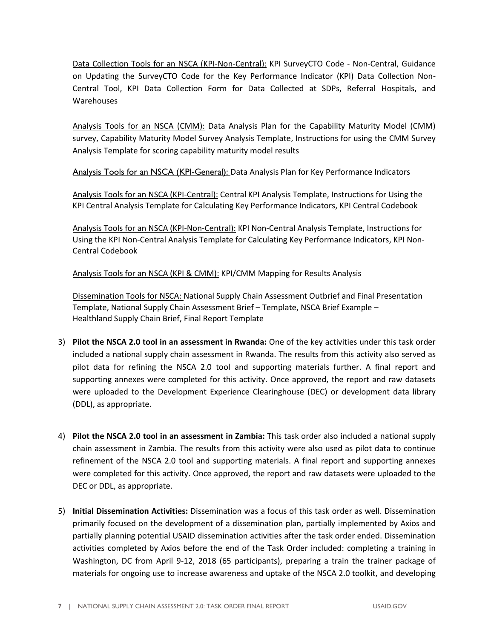Data Collection Tools for an NSCA (KPI-Non-Central): KPI SurveyCTO Code - Non-Central, Guidance on Updating the SurveyCTO Code for the Key Performance Indicator (KPI) Data Collection Non-Central Tool, KPI Data Collection Form for Data Collected at SDPs, Referral Hospitals, and Warehouses

Analysis Tools for an NSCA (CMM): Data Analysis Plan for the Capability Maturity Model (CMM) survey, Capability Maturity Model Survey Analysis Template, Instructions for using the CMM Survey Analysis Template for scoring capability maturity model results

Analysis Tools for an NSCA (KPI-General): Data Analysis Plan for Key Performance Indicators

Analysis Tools for an NSCA (KPI-Central): Central KPI Analysis Template, Instructions for Using the KPI Central Analysis Template for Calculating Key Performance Indicators, KPI Central Codebook

Analysis Tools for an NSCA (KPI-Non-Central): KPI Non-Central Analysis Template, Instructions for Using the KPI Non-Central Analysis Template for Calculating Key Performance Indicators, KPI Non-Central Codebook

Analysis Tools for an NSCA (KPI & CMM): KPI/CMM Mapping for Results Analysis

Dissemination Tools for NSCA: National Supply Chain Assessment Outbrief and Final Presentation Template, National Supply Chain Assessment Brief – Template, NSCA Brief Example – Healthland Supply Chain Brief, Final Report Template

- 3) **Pilot the NSCA 2.0 tool in an assessment in Rwanda:** One of the key activities under this task order included a national supply chain assessment in Rwanda. The results from this activity also served as pilot data for refining the NSCA 2.0 tool and supporting materials further. A final report and supporting annexes were completed for this activity. Once approved, the report and raw datasets were uploaded to the Development Experience Clearinghouse (DEC) or development data library (DDL), as appropriate.
- 4) **Pilot the NSCA 2.0 tool in an assessment in Zambia:** This task order also included a national supply chain assessment in Zambia. The results from this activity were also used as pilot data to continue refinement of the NSCA 2.0 tool and supporting materials. A final report and supporting annexes were completed for this activity. Once approved, the report and raw datasets were uploaded to the DEC or DDL, as appropriate.
- 5) **Initial Dissemination Activities:** Dissemination was a focus of this task order as well. Dissemination primarily focused on the development of a dissemination plan, partially implemented by Axios and partially planning potential USAID dissemination activities after the task order ended. Dissemination activities completed by Axios before the end of the Task Order included: completing a training in Washington, DC from April 9-12, 2018 (65 participants), preparing a train the trainer package of materials for ongoing use to increase awareness and uptake of the NSCA 2.0 toolkit, and developing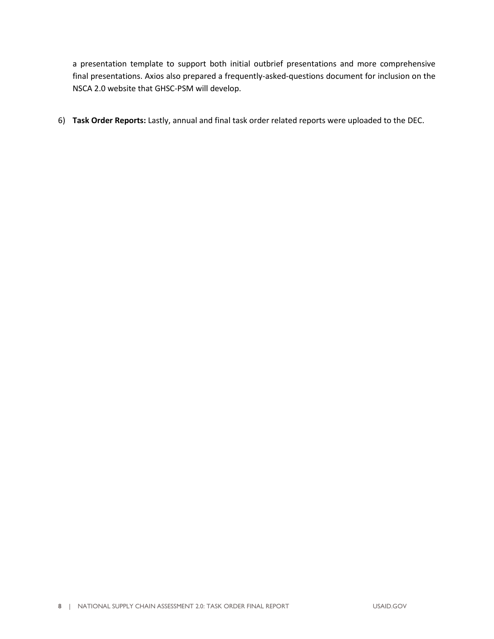a presentation template to support both initial outbrief presentations and more comprehensive final presentations. Axios also prepared a frequently-asked-questions document for inclusion on the NSCA 2.0 website that GHSC-PSM will develop.

6) **Task Order Reports:** Lastly, annual and final task order related reports were uploaded to the DEC.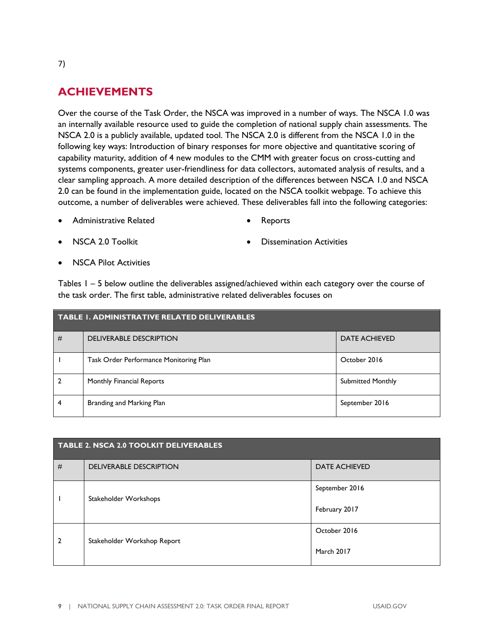## <span id="page-10-0"></span>**ACHIEVEMENTS**

Over the course of the Task Order, the NSCA was improved in a number of ways. The NSCA 1.0 was an internally available resource used to guide the completion of national supply chain assessments. The NSCA 2.0 is a publicly available, updated tool. The NSCA 2.0 is different from the NSCA 1.0 in the following key ways: Introduction of binary responses for more objective and quantitative scoring of capability maturity, addition of 4 new modules to the CMM with greater focus on cross-cutting and systems components, greater user-friendliness for data collectors, automated analysis of results, and a clear sampling approach. A more detailed description of the differences between NSCA 1.0 and NSCA 2.0 can be found in the implementation guide, located on the NSCA toolkit webpage. To achieve this outcome, a number of deliverables were achieved. These deliverables fall into the following categories:

- Administrative Related • Reports
- NSCA 2.0 Toolkit

• Dissemination Activities

• NSCA Pilot Activities

Tables 1 – 5 below outline the deliverables assigned/achieved within each category over the course of the task order. The first table, administrative related deliverables focuses on

| <b>TABLE I. ADMINISTRATIVE RELATED DELIVERABLES</b> |                                        |                          |
|-----------------------------------------------------|----------------------------------------|--------------------------|
| #                                                   | <b>DELIVERABLE DESCRIPTION</b>         | <b>DATE ACHIEVED</b>     |
|                                                     | Task Order Performance Monitoring Plan | October 2016             |
|                                                     | Monthly Financial Reports              | <b>Submitted Monthly</b> |
| 4                                                   | Branding and Marking Plan              | September 2016           |

| TABLE 2. NSCA 2.0 TOOLKIT DELIVERABLES |                                |                      |
|----------------------------------------|--------------------------------|----------------------|
| #                                      | <b>DELIVERABLE DESCRIPTION</b> | <b>DATE ACHIEVED</b> |
|                                        | Stakeholder Workshops          | September 2016       |
|                                        |                                | February 2017        |
| 2                                      | Stakeholder Workshop Report    | October 2016         |
|                                        |                                | March 2017           |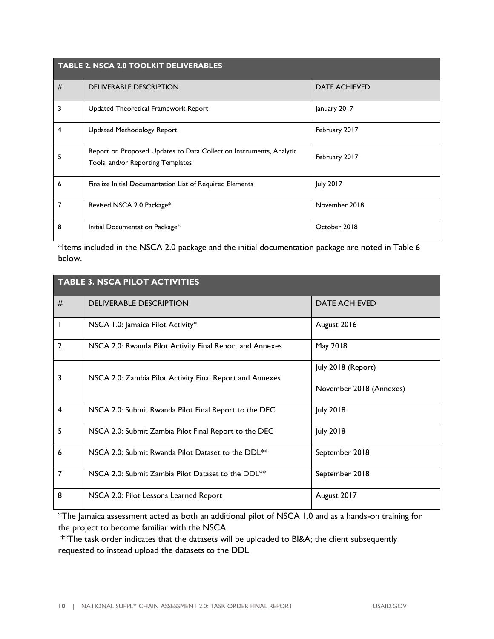| <b>TABLE 2. NSCA 2.0 TOOLKIT DELIVERABLES</b> |                                                                                                          |                      |
|-----------------------------------------------|----------------------------------------------------------------------------------------------------------|----------------------|
| #                                             | <b>DELIVERABLE DESCRIPTION</b>                                                                           | <b>DATE ACHIEVED</b> |
| 3                                             | Updated Theoretical Framework Report                                                                     | January 2017         |
| 4                                             | <b>Updated Methodology Report</b>                                                                        | February 2017        |
|                                               | Report on Proposed Updates to Data Collection Instruments, Analytic<br>Tools, and/or Reporting Templates | February 2017        |
| 6                                             | Finalize Initial Documentation List of Required Elements                                                 | <b>July 2017</b>     |
| 7                                             | Revised NSCA 2.0 Package*                                                                                | November 2018        |
| 8                                             | Initial Documentation Package*                                                                           | October 2018         |

\*Items included in the NSCA 2.0 package and the initial documentation package are noted in Table 6 below.

| <b>TABLE 3. NSCA PILOT ACTIVITIES</b> |                                                                |                                               |
|---------------------------------------|----------------------------------------------------------------|-----------------------------------------------|
| #                                     | <b>DELIVERABLE DESCRIPTION</b>                                 | <b>DATE ACHIEVED</b>                          |
|                                       | NSCA 1.0: Jamaica Pilot Activity*                              | August 2016                                   |
| $\overline{2}$                        | NSCA 2.0: Rwanda Pilot Activity Final Report and Annexes       | May 2018                                      |
| 3                                     | NSCA 2.0: Zambia Pilot Activity Final Report and Annexes       | July 2018 (Report)<br>November 2018 (Annexes) |
| $\overline{\mathbf{4}}$               | NSCA 2.0: Submit Rwanda Pilot Final Report to the DEC          | <b>July 2018</b>                              |
| 5                                     | NSCA 2.0: Submit Zambia Pilot Final Report to the DEC          | <b>July 2018</b>                              |
| 6                                     | NSCA 2.0: Submit Rwanda Pilot Dataset to the DDL <sup>**</sup> | September 2018                                |
| 7                                     | NSCA 2.0: Submit Zambia Pilot Dataset to the DDL <sup>**</sup> | September 2018                                |
| 8                                     | NSCA 2.0: Pilot Lessons Learned Report                         | August 2017                                   |

\*The Jamaica assessment acted as both an additional pilot of NSCA 1.0 and as a hands-on training for the project to become familiar with the NSCA

\*\* The task order indicates that the datasets will be uploaded to BI&A; the client subsequently requested to instead upload the datasets to the DDL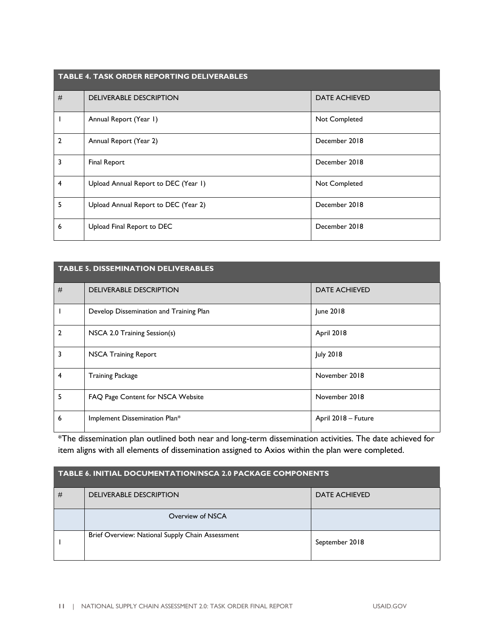| <b>TABLE 4. TASK ORDER REPORTING DELIVERABLES</b> |                                      |                      |
|---------------------------------------------------|--------------------------------------|----------------------|
| #                                                 | <b>DELIVERABLE DESCRIPTION</b>       | <b>DATE ACHIEVED</b> |
|                                                   | Annual Report (Year 1)               | Not Completed        |
| $\mathfrak{p}$                                    | Annual Report (Year 2)               | December 2018        |
| 3                                                 | Final Report                         | December 2018        |
| 4                                                 | Upload Annual Report to DEC (Year 1) | Not Completed        |
| 5                                                 | Upload Annual Report to DEC (Year 2) | December 2018        |
| 6                                                 | Upload Final Report to DEC           | December 2018        |

#### **TABLE 5. DISSEMINATION DELIVERABLES**

| # | <b>DELIVERABLE DESCRIPTION</b>          | <b>DATE ACHIEVED</b> |
|---|-----------------------------------------|----------------------|
|   | Develop Dissemination and Training Plan | June 2018            |
| 2 | NSCA 2.0 Training Session(s)            | April 2018           |
| 3 | <b>NSCA Training Report</b>             | <b>July 2018</b>     |
| 4 | <b>Training Package</b>                 | November 2018        |
| 5 | FAQ Page Content for NSCA Website       | November 2018        |
| 6 | Implement Dissemination Plan*           | April 2018 - Future  |

\*The dissemination plan outlined both near and long-term dissemination activities. The date achieved for item aligns with all elements of dissemination assigned to Axios within the plan were completed.

| <b>TABLE 6. INITIAL DOCUMENTATION/NSCA 2.0 PACKAGE COMPONENTS</b> |                                                  |                      |
|-------------------------------------------------------------------|--------------------------------------------------|----------------------|
| #                                                                 | <b>DELIVERABLE DESCRIPTION</b>                   | <b>DATE ACHIEVED</b> |
|                                                                   | Overview of NSCA                                 |                      |
|                                                                   | Brief Overview: National Supply Chain Assessment | September 2018       |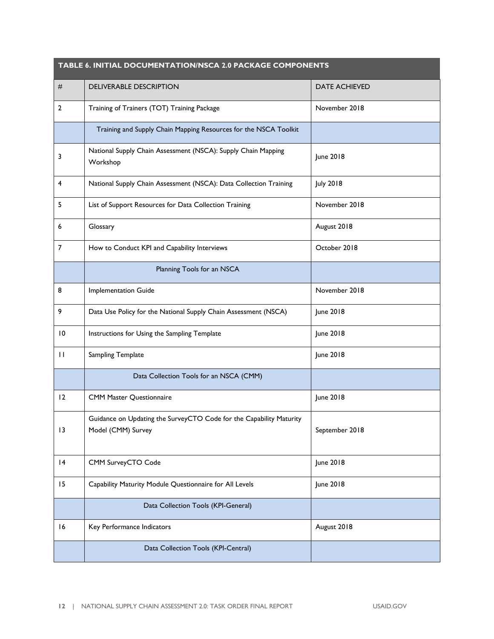| TABLE 6. INITIAL DOCUMENTATION/NSCA 2.0 PACKAGE COMPONENTS |                                                                                           |                      |
|------------------------------------------------------------|-------------------------------------------------------------------------------------------|----------------------|
| #                                                          | <b>DELIVERABLE DESCRIPTION</b>                                                            | <b>DATE ACHIEVED</b> |
| $\overline{2}$                                             | Training of Trainers (TOT) Training Package                                               | November 2018        |
|                                                            | Training and Supply Chain Mapping Resources for the NSCA Toolkit                          |                      |
| 3                                                          | National Supply Chain Assessment (NSCA): Supply Chain Mapping<br>Workshop                 | June 2018            |
| 4                                                          | National Supply Chain Assessment (NSCA): Data Collection Training                         | <b>July 2018</b>     |
| 5                                                          | List of Support Resources for Data Collection Training                                    | November 2018        |
| 6                                                          | Glossary                                                                                  | August 2018          |
| 7                                                          | How to Conduct KPI and Capability Interviews                                              | October 2018         |
|                                                            | Planning Tools for an NSCA                                                                |                      |
| 8                                                          | <b>Implementation Guide</b>                                                               | November 2018        |
| 9                                                          | Data Use Policy for the National Supply Chain Assessment (NSCA)                           | June 2018            |
| 10                                                         | Instructions for Using the Sampling Template                                              | June 2018            |
| $\mathbf{H}$                                               | Sampling Template                                                                         | June 2018            |
|                                                            | Data Collection Tools for an NSCA (CMM)                                                   |                      |
| 12                                                         | <b>CMM Master Questionnaire</b>                                                           | June 2018            |
| 13                                                         | Guidance on Updating the SurveyCTO Code for the Capability Maturity<br>Model (CMM) Survey | September 2018       |
| 4                                                          | CMM SurveyCTO Code                                                                        | June 2018            |
| 15                                                         | Capability Maturity Module Questionnaire for All Levels                                   | June 2018            |
|                                                            | Data Collection Tools (KPI-General)                                                       |                      |
| 16                                                         | Key Performance Indicators                                                                | August 2018          |
|                                                            | Data Collection Tools (KPI-Central)                                                       |                      |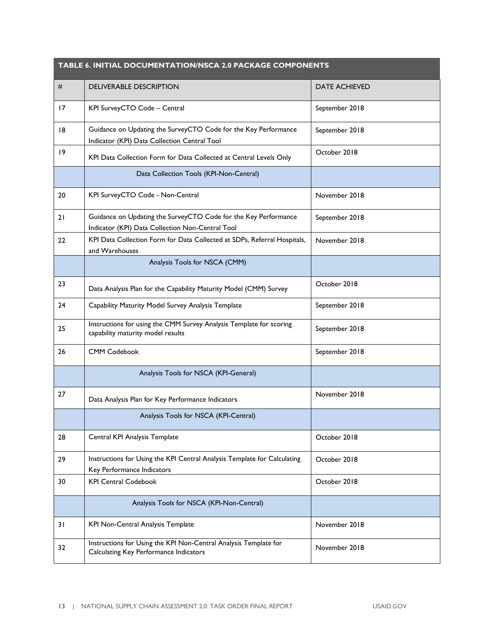<span id="page-14-0"></span>

| TABLE 6. INITIAL DOCUMENTATION/NSCA 2.0 PACKAGE COMPONENTS |                                                                                                                     |                      |
|------------------------------------------------------------|---------------------------------------------------------------------------------------------------------------------|----------------------|
| #                                                          | <b>DELIVERABLE DESCRIPTION</b>                                                                                      | <b>DATE ACHIEVED</b> |
| 17                                                         | KPI SurveyCTO Code - Central                                                                                        | September 2018       |
| 8                                                          | Guidance on Updating the SurveyCTO Code for the Key Performance<br>Indicator (KPI) Data Collection Central Tool     | September 2018       |
| 19                                                         | KPI Data Collection Form for Data Collected at Central Levels Only                                                  | October 2018         |
|                                                            | Data Collection Tools (KPI-Non-Central)                                                                             |                      |
| 20                                                         | KPI SurveyCTO Code - Non-Central                                                                                    | November 2018        |
| 21                                                         | Guidance on Updating the SurveyCTO Code for the Key Performance<br>Indicator (KPI) Data Collection Non-Central Tool | September 2018       |
| 22                                                         | KPI Data Collection Form for Data Collected at SDPs, Referral Hospitals,<br>and Warehouses                          | November 2018        |
|                                                            | Analysis Tools for NSCA (CMM)                                                                                       |                      |
| 23                                                         | Data Analysis Plan for the Capability Maturity Model (CMM) Survey                                                   | October 2018         |
| 24                                                         | Capability Maturity Model Survey Analysis Template                                                                  | September 2018       |
| 25                                                         | Instructions for using the CMM Survey Analysis Template for scoring<br>capability maturity model results            | September 2018       |
| 26                                                         | <b>CMM Codebook</b>                                                                                                 | September 2018       |
|                                                            | Analysis Tools for NSCA (KPI-General)                                                                               |                      |
| 27                                                         | Data Analysis Plan for Key Performance Indicators                                                                   | November 2018        |
|                                                            | Analysis Tools for NSCA (KPI-Central)                                                                               |                      |
| 28                                                         | Central KPI Analysis Template                                                                                       | October 2018         |
| 29                                                         | Instructions for Using the KPI Central Analysis Template for Calculating<br>Key Performance Indicators              | October 2018         |
| 30                                                         | <b>KPI Central Codebook</b>                                                                                         | October 2018         |
|                                                            | Analysis Tools for NSCA (KPI-Non-Central)                                                                           |                      |
| 31                                                         | KPI Non-Central Analysis Template                                                                                   | November 2018        |
| 32                                                         | Instructions for Using the KPI Non-Central Analysis Template for<br>Calculating Key Performance Indicators          | November 2018        |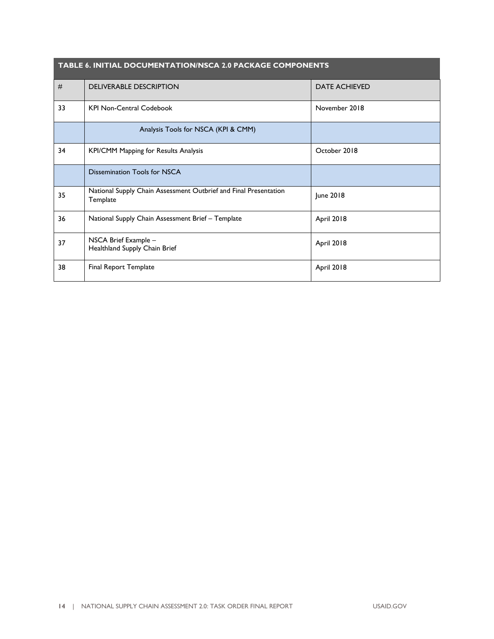| <b>TABLE 6. INITIAL DOCUMENTATION/NSCA 2.0 PACKAGE COMPONENTS</b> |                                                                              |                      |
|-------------------------------------------------------------------|------------------------------------------------------------------------------|----------------------|
| #                                                                 | <b>DELIVERABLE DESCRIPTION</b>                                               | <b>DATE ACHIEVED</b> |
| 33                                                                | <b>KPI Non-Central Codebook</b>                                              | November 2018        |
|                                                                   | Analysis Tools for NSCA (KPI & CMM)                                          |                      |
| 34                                                                | <b>KPI/CMM Mapping for Results Analysis</b>                                  | October 2018         |
|                                                                   | Dissemination Tools for NSCA                                                 |                      |
| 35                                                                | National Supply Chain Assessment Outbrief and Final Presentation<br>Template | June 2018            |
| 36                                                                | National Supply Chain Assessment Brief - Template                            | April 2018           |
| 37                                                                | NSCA Brief Example -<br>Healthland Supply Chain Brief                        | April 2018           |
| 38                                                                | Final Report Template                                                        | April 2018           |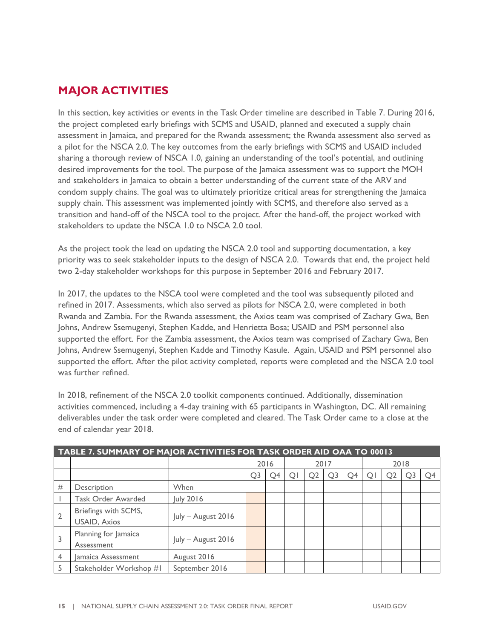## <span id="page-16-0"></span>**MAJOR ACTIVITIES**

In this section, key activities or events in the Task Order timeline are described in Table 7. During 2016, the project completed early briefings with SCMS and USAID, planned and executed a supply chain assessment in Jamaica, and prepared for the Rwanda assessment; the Rwanda assessment also served as a pilot for the NSCA 2.0. The key outcomes from the early briefings with SCMS and USAID included sharing a thorough review of NSCA 1.0, gaining an understanding of the tool's potential, and outlining desired improvements for the tool. The purpose of the Jamaica assessment was to support the MOH and stakeholders in Jamaica to obtain a better understanding of the current state of the ARV and condom supply chains. The goal was to ultimately prioritize critical areas for strengthening the Jamaica supply chain. This assessment was implemented jointly with SCMS, and therefore also served as a transition and hand-off of the NSCA tool to the project. After the hand-off, the project worked with stakeholders to update the NSCA 1.0 to NSCA 2.0 tool.

As the project took the lead on updating the NSCA 2.0 tool and supporting documentation, a key priority was to seek stakeholder inputs to the design of NSCA 2.0. Towards that end, the project held two 2-day stakeholder workshops for this purpose in September 2016 and February 2017.

In 2017, the updates to the NSCA tool were completed and the tool was subsequently piloted and refined in 2017. Assessments, which also served as pilots for NSCA 2.0, were completed in both Rwanda and Zambia. For the Rwanda assessment, the Axios team was comprised of Zachary Gwa, Ben Johns, Andrew Ssemugenyi, Stephen Kadde, and Henrietta Bosa; USAID and PSM personnel also supported the effort. For the Zambia assessment, the Axios team was comprised of Zachary Gwa, Ben Johns, Andrew Ssemugenyi, Stephen Kadde and Timothy Kasule. Again, USAID and PSM personnel also supported the effort. After the pilot activity completed, reports were completed and the NSCA 2.0 tool was further refined.

In 2018, refinement of the NSCA 2.0 toolkit components continued. Additionally, dissemination activities commenced, including a 4-day training with 65 participants in Washington, DC. All remaining deliverables under the task order were completed and cleared. The Task Order came to a close at the end of calendar year 2018.

| TABLE 7. SUMMARY OF MAJOR ACTIVITIES FOR TASK ORDER AID OAA TO 00013 |                                             |                    |                |      |      |                |                |                |   |                |    |    |
|----------------------------------------------------------------------|---------------------------------------------|--------------------|----------------|------|------|----------------|----------------|----------------|---|----------------|----|----|
|                                                                      |                                             |                    |                | 2016 | 2017 |                |                | 2018           |   |                |    |    |
|                                                                      |                                             |                    | O <sub>3</sub> | O4   | O    | Q <sub>2</sub> | Q <sub>3</sub> | O <sub>4</sub> | O | Q <sub>2</sub> | O3 | O4 |
| #                                                                    | Description                                 | When               |                |      |      |                |                |                |   |                |    |    |
|                                                                      | Task Order Awarded                          | July 2016          |                |      |      |                |                |                |   |                |    |    |
|                                                                      | Briefings with SCMS,<br><b>USAID, Axios</b> | July - August 2016 |                |      |      |                |                |                |   |                |    |    |
|                                                                      | Planning for Jamaica<br>Assessment          | July - August 2016 |                |      |      |                |                |                |   |                |    |    |
| 4                                                                    | Jamaica Assessment                          | August 2016        |                |      |      |                |                |                |   |                |    |    |
|                                                                      | Stakeholder Workshop #1                     | September 2016     |                |      |      |                |                |                |   |                |    |    |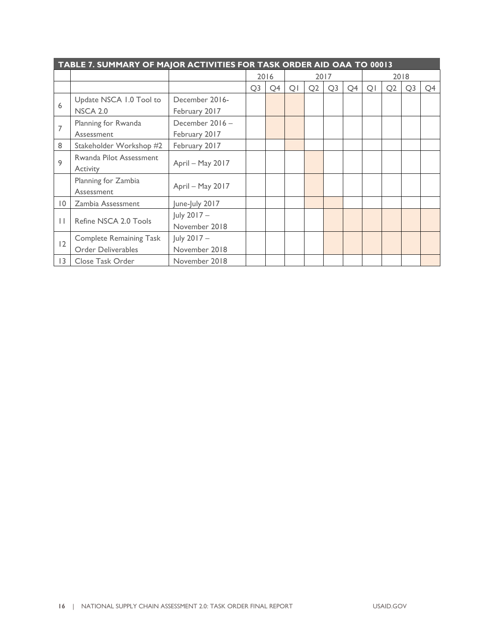| TABLE 7. SUMMARY OF MAJOR ACTIVITIES FOR TASK ORDER AID OAA TO 00013 |                                |                  |                |                |                |    |                |                |                |                |                |    |
|----------------------------------------------------------------------|--------------------------------|------------------|----------------|----------------|----------------|----|----------------|----------------|----------------|----------------|----------------|----|
|                                                                      |                                |                  |                | 2016           | 2017           |    | 2018           |                |                |                |                |    |
|                                                                      |                                |                  | Q <sub>3</sub> | Q <sub>4</sub> | Q <sub>1</sub> | Q2 | Q <sub>3</sub> | Q <sub>4</sub> | Q <sub>1</sub> | Q <sub>2</sub> | Q <sub>3</sub> | Q4 |
| 6                                                                    | Update NSCA 1.0 Tool to        | December 2016-   |                |                |                |    |                |                |                |                |                |    |
|                                                                      | <b>NSCA 2.0</b>                | February 2017    |                |                |                |    |                |                |                |                |                |    |
| 7                                                                    | Planning for Rwanda            | December 2016-   |                |                |                |    |                |                |                |                |                |    |
|                                                                      | Assessment                     | February 2017    |                |                |                |    |                |                |                |                |                |    |
| 8                                                                    | Stakeholder Workshop #2        | February 2017    |                |                |                |    |                |                |                |                |                |    |
| 9                                                                    | Rwanda Pilot Assessment        |                  |                |                |                |    |                |                |                |                |                |    |
|                                                                      | Activity                       | April - May 2017 |                |                |                |    |                |                |                |                |                |    |
|                                                                      | Planning for Zambia            |                  |                |                |                |    |                |                |                |                |                |    |
|                                                                      | Assessment                     | April - May 2017 |                |                |                |    |                |                |                |                |                |    |
| $\overline{0}$                                                       | Zambia Assessment              | June-July 2017   |                |                |                |    |                |                |                |                |                |    |
|                                                                      |                                | July 2017 -      |                |                |                |    |                |                |                |                |                |    |
| $\perp$                                                              | Refine NSCA 2.0 Tools          | November 2018    |                |                |                |    |                |                |                |                |                |    |
|                                                                      | <b>Complete Remaining Task</b> | July 2017 -      |                |                |                |    |                |                |                |                |                |    |
| 12                                                                   | <b>Order Deliverables</b>      | November 2018    |                |                |                |    |                |                |                |                |                |    |
| $ 3\rangle$                                                          | Close Task Order               | November 2018    |                |                |                |    |                |                |                |                |                |    |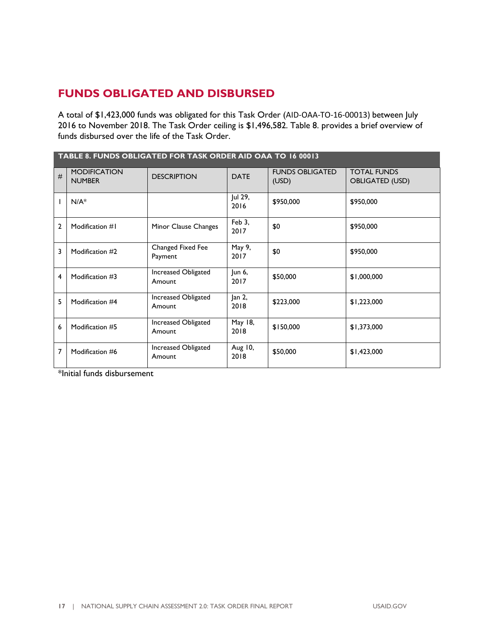#### <span id="page-18-0"></span>**FUNDS OBLIGATED AND DISBURSED**

A total of \$1,423,000 funds was obligated for this Task Order (AID-OAA-TO-16-00013) between July 2016 to November 2018. The Task Order ceiling is \$1,496,582. Table 8. provides a brief overview of funds disbursed over the life of the Task Order.

| TABLE 8. FUNDS OBLIGATED FOR TASK ORDER AID OAA TO 16 00013 |                                      |                               |                 |                                 |                                              |  |  |  |  |
|-------------------------------------------------------------|--------------------------------------|-------------------------------|-----------------|---------------------------------|----------------------------------------------|--|--|--|--|
| #                                                           | <b>MODIFICATION</b><br><b>NUMBER</b> | <b>DESCRIPTION</b>            | <b>DATE</b>     | <b>FUNDS OBLIGATED</b><br>(USD) | <b>TOTAL FUNDS</b><br><b>OBLIGATED (USD)</b> |  |  |  |  |
| $\mathsf{l}$                                                | $N/A^*$                              |                               | Jul 29,<br>2016 | \$950,000                       | \$950,000                                    |  |  |  |  |
| $\overline{2}$                                              | Modification #1                      | Minor Clause Changes          | Feb 3,<br>2017  | \$0                             | \$950,000                                    |  |  |  |  |
| $\overline{\mathbf{3}}$                                     | Modification #2                      | Changed Fixed Fee<br>Payment  | May 9,<br>2017  | \$0                             | \$950,000                                    |  |  |  |  |
| 4                                                           | Modification #3                      | Increased Obligated<br>Amount | Jun 6,<br>2017  | \$50,000                        | \$1,000,000                                  |  |  |  |  |
| 5                                                           | Modification #4                      | Increased Obligated<br>Amount | Jan 2,<br>2018  | \$223,000                       | \$1,223,000                                  |  |  |  |  |
| 6                                                           | Modification #5                      | Increased Obligated<br>Amount | May 18,<br>2018 | \$150,000                       | \$1,373,000                                  |  |  |  |  |
| $\overline{7}$                                              | Modification #6                      | Increased Obligated<br>Amount | Aug 10,<br>2018 | \$50,000                        | \$1,423,000                                  |  |  |  |  |

\*Initial funds disbursement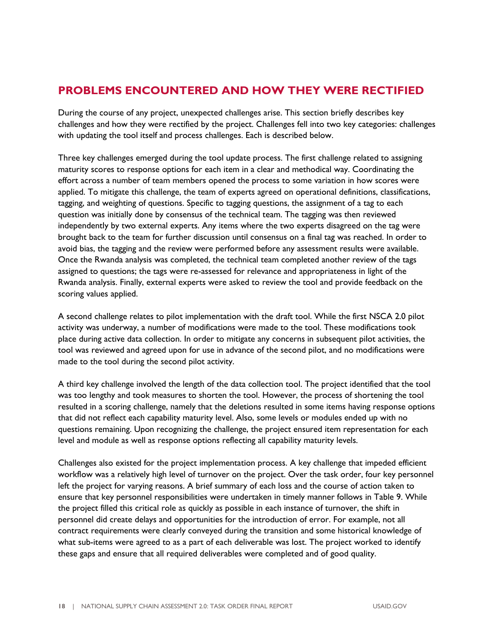#### <span id="page-19-0"></span>**PROBLEMS ENCOUNTERED AND HOW THEY WERE RECTIFIED**

During the course of any project, unexpected challenges arise. This section briefly describes key challenges and how they were rectified by the project. Challenges fell into two key categories: challenges with updating the tool itself and process challenges. Each is described below.

Three key challenges emerged during the tool update process. The first challenge related to assigning maturity scores to response options for each item in a clear and methodical way. Coordinating the effort across a number of team members opened the process to some variation in how scores were applied. To mitigate this challenge, the team of experts agreed on operational definitions, classifications, tagging, and weighting of questions. Specific to tagging questions, the assignment of a tag to each question was initially done by consensus of the technical team. The tagging was then reviewed independently by two external experts. Any items where the two experts disagreed on the tag were brought back to the team for further discussion until consensus on a final tag was reached. In order to avoid bias, the tagging and the review were performed before any assessment results were available. Once the Rwanda analysis was completed, the technical team completed another review of the tags assigned to questions; the tags were re-assessed for relevance and appropriateness in light of the Rwanda analysis. Finally, external experts were asked to review the tool and provide feedback on the scoring values applied.

A second challenge relates to pilot implementation with the draft tool. While the first NSCA 2.0 pilot activity was underway, a number of modifications were made to the tool. These modifications took place during active data collection. In order to mitigate any concerns in subsequent pilot activities, the tool was reviewed and agreed upon for use in advance of the second pilot, and no modifications were made to the tool during the second pilot activity.

A third key challenge involved the length of the data collection tool. The project identified that the tool was too lengthy and took measures to shorten the tool. However, the process of shortening the tool resulted in a scoring challenge, namely that the deletions resulted in some items having response options that did not reflect each capability maturity level. Also, some levels or modules ended up with no questions remaining. Upon recognizing the challenge, the project ensured item representation for each level and module as well as response options reflecting all capability maturity levels.

Challenges also existed for the project implementation process. A key challenge that impeded efficient workflow was a relatively high level of turnover on the project. Over the task order, four key personnel left the project for varying reasons. A brief summary of each loss and the course of action taken to ensure that key personnel responsibilities were undertaken in timely manner follows in Table 9. While the project filled this critical role as quickly as possible in each instance of turnover, the shift in personnel did create delays and opportunities for the introduction of error. For example, not all contract requirements were clearly conveyed during the transition and some historical knowledge of what sub-items were agreed to as a part of each deliverable was lost. The project worked to identify these gaps and ensure that all required deliverables were completed and of good quality.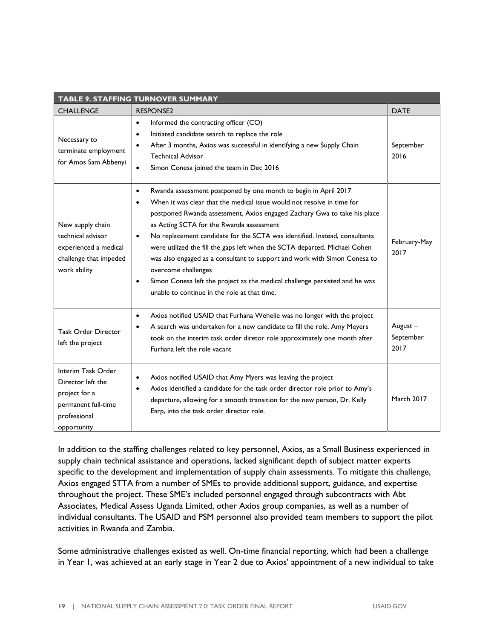| TABLE 9. STAFFING TURNOVER SUMMARY                                                                             |                                                                                                                                                                                                                                                                                                                                                                                                                                                                                                                                                                                                                                                                                                                      |                              |  |  |  |  |
|----------------------------------------------------------------------------------------------------------------|----------------------------------------------------------------------------------------------------------------------------------------------------------------------------------------------------------------------------------------------------------------------------------------------------------------------------------------------------------------------------------------------------------------------------------------------------------------------------------------------------------------------------------------------------------------------------------------------------------------------------------------------------------------------------------------------------------------------|------------------------------|--|--|--|--|
| <b>CHALLENGE</b>                                                                                               | <b>RESPONSE2</b>                                                                                                                                                                                                                                                                                                                                                                                                                                                                                                                                                                                                                                                                                                     | <b>DATE</b>                  |  |  |  |  |
| Necessary to<br>terminate employment<br>for Amos Sam Abbenyi                                                   | Informed the contracting officer (CO)<br>$\bullet$<br>Initiated candidate search to replace the role<br>$\bullet$<br>After 3 months, Axios was successful in identifying a new Supply Chain<br>$\bullet$<br><b>Technical Advisor</b><br>Simon Conesa joined the team in Dec 2016<br>$\bullet$                                                                                                                                                                                                                                                                                                                                                                                                                        | September<br>2016            |  |  |  |  |
| New supply chain<br>technical advisor<br>experienced a medical<br>challenge that impeded<br>work ability       | Rwanda assessment postponed by one month to begin in April 2017<br>$\bullet$<br>When it was clear that the medical issue would not resolve in time for<br>$\bullet$<br>postponed Rwanda assessment, Axios engaged Zachary Gwa to take his place<br>as Acting SCTA for the Rwanda assessment<br>No replacement candidate for the SCTA was identified. Instead, consultants<br>$\bullet$<br>were utilized the fill the gaps left when the SCTA departed. Michael Cohen<br>was also engaged as a consultant to support and work with Simon Conesa to<br>overcome challenges<br>Simon Conesa left the project as the medical challenge persisted and he was<br>$\bullet$<br>unable to continue in the role at that time. | February-May<br>2017         |  |  |  |  |
| <b>Task Order Director</b><br>left the project                                                                 | Axios notified USAID that Furhana Wehelie was no longer with the project<br>$\bullet$<br>A search was undertaken for a new candidate to fill the role. Amy Meyers<br>took on the interim task order diretor role approximately one month after<br>Furhana left the role vacant                                                                                                                                                                                                                                                                                                                                                                                                                                       | August-<br>September<br>2017 |  |  |  |  |
| Interim Task Order<br>Director left the<br>project for a<br>permanent full-time<br>professional<br>opportunity | Axios notified USAID that Amy Myers was leaving the project<br>Axios identified a candidate for the task order director role prior to Amy's<br>$\bullet$<br>departure, allowing for a smooth transition for the new person, Dr. Kelly<br>Earp, into the task order director role.                                                                                                                                                                                                                                                                                                                                                                                                                                    | <b>March 2017</b>            |  |  |  |  |

In addition to the staffing challenges related to key personnel, Axios, as a Small Business experienced in supply chain technical assistance and operations, lacked significant depth of subject matter experts specific to the development and implementation of supply chain assessments. To mitigate this challenge, Axios engaged STTA from a number of SMEs to provide additional support, guidance, and expertise throughout the project. These SME's included personnel engaged through subcontracts with Abt Associates, Medical Assess Uganda Limited, other Axios group companies, as well as a number of individual consultants. The USAID and PSM personnel also provided team members to support the pilot activities in Rwanda and Zambia.

Some administrative challenges existed as well. On-time financial reporting, which had been a challenge in Year 1, was achieved at an early stage in Year 2 due to Axios' appointment of a new individual to take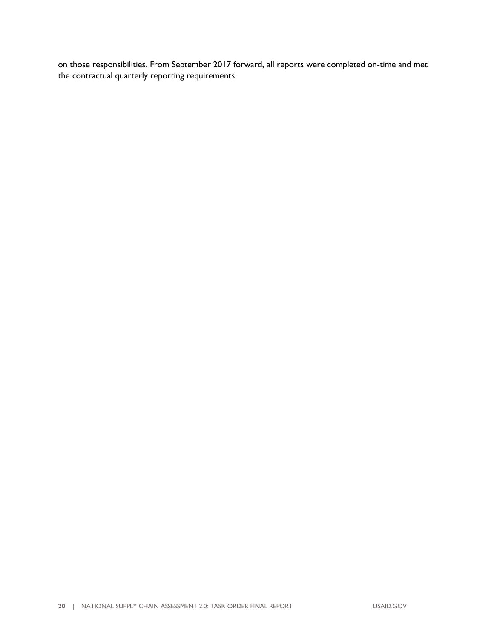on those responsibilities. From September 2017 forward, all reports were completed on-time and met the contractual quarterly reporting requirements.